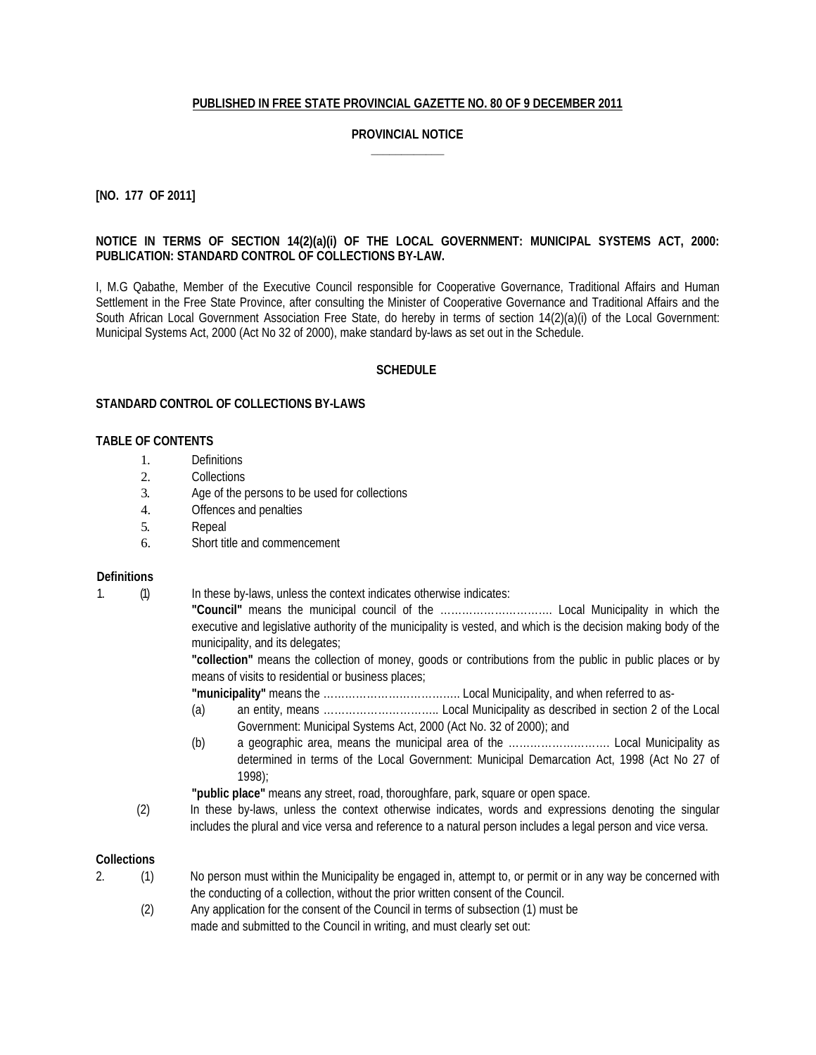## **PUBLISHED IN FREE STATE PROVINCIAL GAZETTE NO. 80 OF 9 DECEMBER 2011**

## **PROVINCIAL NOTICE \_\_\_\_\_\_\_\_\_\_\_\_**

### **[NO. 177 OF 2011]**

## **NOTICE IN TERMS OF SECTION 14(2)(a)(i) OF THE LOCAL GOVERNMENT: MUNICIPAL SYSTEMS ACT, 2000: PUBLICATION: STANDARD CONTROL OF COLLECTIONS BY-LAW.**

I, M.G Qabathe, Member of the Executive Council responsible for Cooperative Governance, Traditional Affairs and Human Settlement in the Free State Province, after consulting the Minister of Cooperative Governance and Traditional Affairs and the South African Local Government Association Free State, do hereby in terms of section 14(2)(a)(i) of the Local Government: Municipal Systems Act, 2000 (Act No 32 of 2000), make standard by-laws as set out in the Schedule.

### **SCHEDULE**

### **STANDARD CONTROL OF COLLECTIONS BY-LAWS**

## **TABLE OF CONTENTS**

- 1. Definitions
- 2. Collections
- 3. Age of the persons to be used for collections
- 4. Offences and penalties
- 5. Repeal
- 6. Short title and commencement

#### **Definitions**

1. (1) In these by-laws, unless the context indicates otherwise indicates:

**"Council"** means the municipal council of the …………………………. Local Municipality in which the executive and legislative authority of the municipality is vested, and which is the decision making body of the municipality, and its delegates;

**"collection"** means the collection of money, goods or contributions from the public in public places or by means of visits to residential or business places;

**"municipality"** means the ……………………………….. Local Municipality, and when referred to as-

- (a) an entity, means ………………………….. Local Municipality as described in section 2 of the Local Government: Municipal Systems Act, 2000 (Act No. 32 of 2000); and
- (b) a geographic area, means the municipal area of the ………………………. Local Municipality as determined in terms of the Local Government: Municipal Demarcation Act, 1998 (Act No 27 of 1998);

**"public place"** means any street, road, thoroughfare, park, square or open space.

(2) In these by-laws, unless the context otherwise indicates, words and expressions denoting the singular includes the plural and vice versa and reference to a natural person includes a legal person and vice versa.

### **Collections**

- 2. (1) No person must within the Municipality be engaged in, attempt to, or permit or in any way be concerned with the conducting of a collection, without the prior written consent of the Council.
	- (2) Any application for the consent of the Council in terms of subsection (1) must be made and submitted to the Council in writing, and must clearly set out: